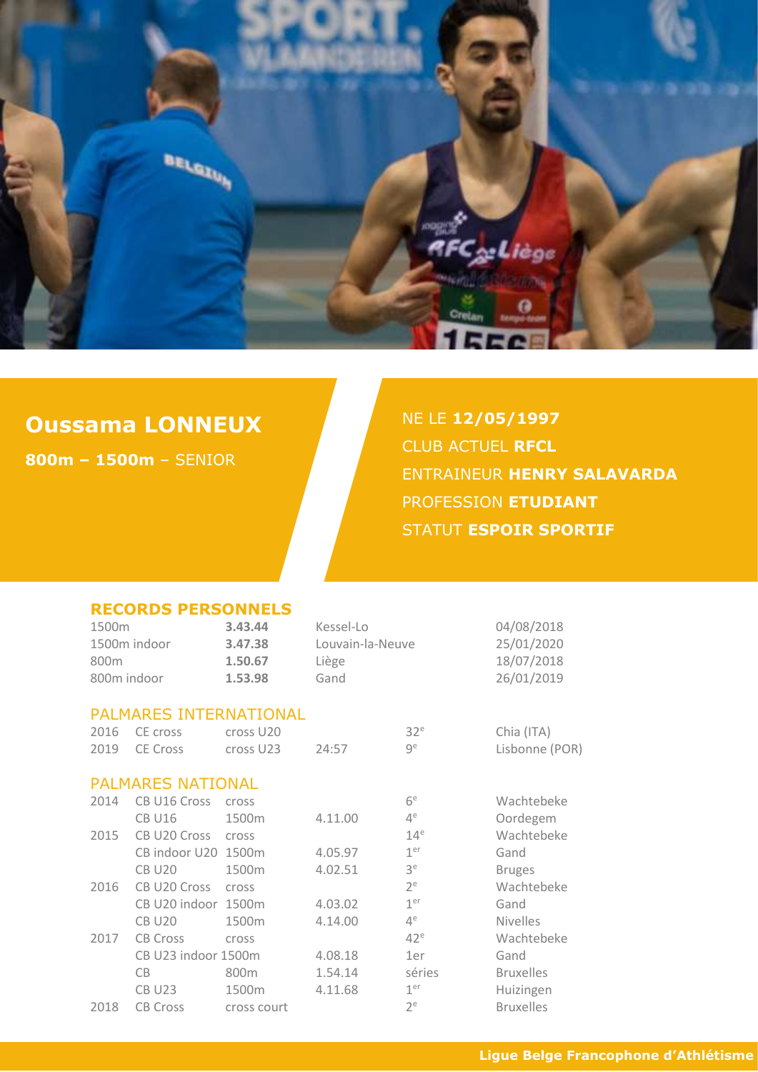

## **Oussama LONNEUX**

**800m – 1500m** – SENIOR

NE LE **12/05/1997** CLUB ACTUEL **RFCL** ENTRAINEUR **HENRY SALAVARDA** PROFESSION **ETUDIANT** STATUT **ESPOIR SPORTIF** 

|                                              | <b>RECORDS PERSONNELS</b> |                                          |                                                |                                                      |                  |
|----------------------------------------------|---------------------------|------------------------------------------|------------------------------------------------|------------------------------------------------------|------------------|
| 1500m<br>1500m indoor<br>800m<br>800m indoor |                           | 3.43.44<br>3.47.38<br>1.50.67<br>1.53.98 | Kessel-Lo<br>Louvain-la-Neuve<br>Liège<br>Gand | 04/08/2018<br>25/01/2020<br>18/07/2018<br>26/01/2019 |                  |
|                                              | PALMARES INTERNATIONAL    |                                          |                                                |                                                      |                  |
| 2016                                         | CE cross                  | cross U <sub>20</sub>                    |                                                | 32 <sup>e</sup>                                      | Chia (ITA)       |
| 2019                                         | <b>CE Cross</b>           | cross U23                                | 24:57                                          | qe                                                   | Lisbonne (POR)   |
|                                              | <b>PALMARES NATIONAL</b>  |                                          |                                                |                                                      |                  |
| 2014                                         | CB U16 Cross              | cross                                    |                                                | 6 <sup>e</sup>                                       | Wachtebeke       |
|                                              | <b>CB U16</b>             | 1500m                                    | 4.11.00                                        | $4^e$                                                | Oordegem         |
| 2015                                         | CB U20 Cross              | cross                                    |                                                | 14 <sup>e</sup>                                      | Wachtebeke       |
|                                              | CB indoor U20 1500m       |                                          | 4.05.97                                        | 1 <sup>er</sup>                                      | Gand             |
|                                              | <b>CB U20</b>             | 1500m                                    | 4.02.51                                        | 3 <sup>e</sup>                                       | <b>Bruges</b>    |
| 2016                                         | CB U20 Cross              | cross                                    |                                                | 2 <sup>e</sup>                                       | Wachtebeke       |
|                                              | CB U20 indoor 1500m       |                                          | 4.03.02                                        | 1 <sup>er</sup>                                      | Gand             |
|                                              | <b>CB U20</b>             | 1500m                                    | 4.14.00                                        | $4^e$                                                | <b>Nivelles</b>  |
| 2017                                         | <b>CB Cross</b>           | cross                                    |                                                | $42^e$                                               | Wachtebeke       |
|                                              | CB U23 indoor 1500m       |                                          | 4.08.18                                        | 1er                                                  | Gand             |
|                                              | CB                        | 800 <sub>m</sub>                         | 1.54.14                                        | séries                                               | <b>Bruxelles</b> |
|                                              | <b>CB U23</b>             | 1500m                                    | 4.11.68                                        | 1 <sup>er</sup>                                      | Huizingen        |
| 2018                                         | <b>CB Cross</b>           | cross court                              |                                                | $2^e$                                                | <b>Bruxelles</b> |
|                                              |                           |                                          |                                                |                                                      |                  |